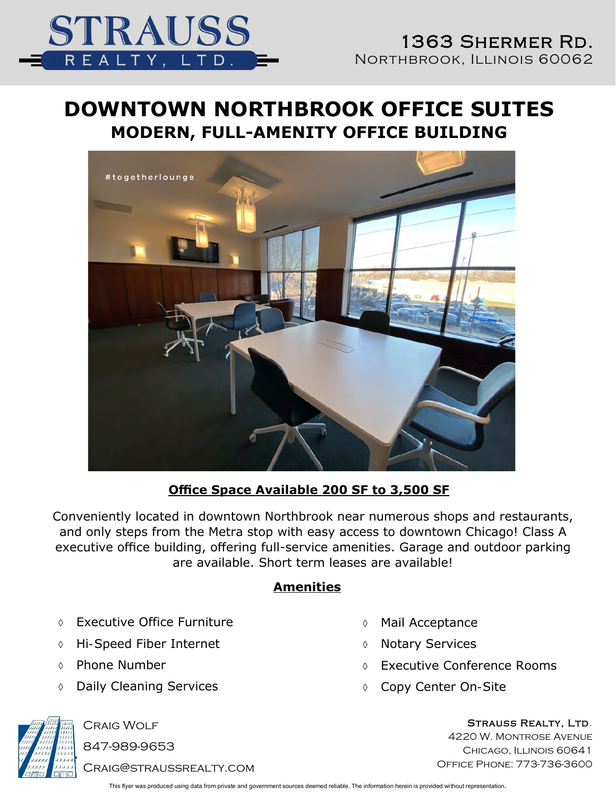

## **DOWNTOWN NORTHBROOK OFFICE SUITES MODERN, FULL-AMENITY OFFICE BUILDING**



#### **Office Space Available 200 SF to 3,500 SF**

Conveniently located in downtown Northbrook near numerous shops and restaurants, and only steps from the Metra stop with easy access to downtown Chicago! Class A executive office building, offering full-service amenities. Garage and outdoor parking are available. Short term leases are available!

#### **Amenities**

- Executive Office Furniture
- Hi-Speed Fiber Internet
- Phone Number
- Daily Cleaning Services
- Mail Acceptance
- Notary Services
- Executive Conference Rooms
- Copy Center On-Site



Craig Wolf 847-989-9653

Craig@straussrealty.com

Strauss Realty, Ltd. 4220 W. Montrose Avenue CHICAGO, ILLINOIS 60641 Office Phone: 773-736-3600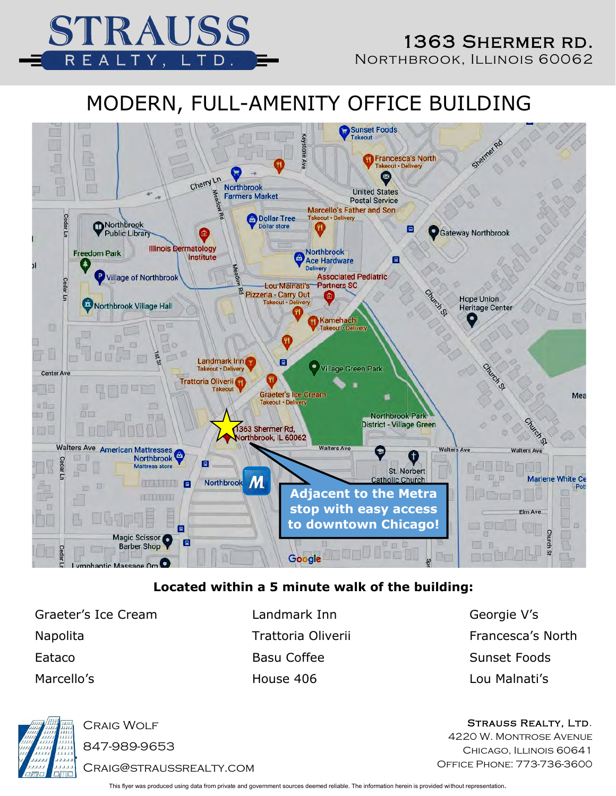

## MODERN, FULL-AMENITY OFFICE BUILDING



#### **Located within a 5 minute walk of the building:**

Graeter's Ice Cream **Landmark Inn** Georgie V's Napolita **Napolita** Trattoria Oliverii Francesca's North Eataco Basu Coffee Sunset Foods Marcello's House 406 Lou Malnati's



Craig Wolf

847-989-9653

Craig@straussrealty.com

This flyer was produced using data from private and government sources deemed reliable. The information herein is provided without representation.

Strauss Realty, Ltd.

4220 W. Montrose Avenue CHICAGO, ILLINOIS 60641 Office Phone: 773-736-3600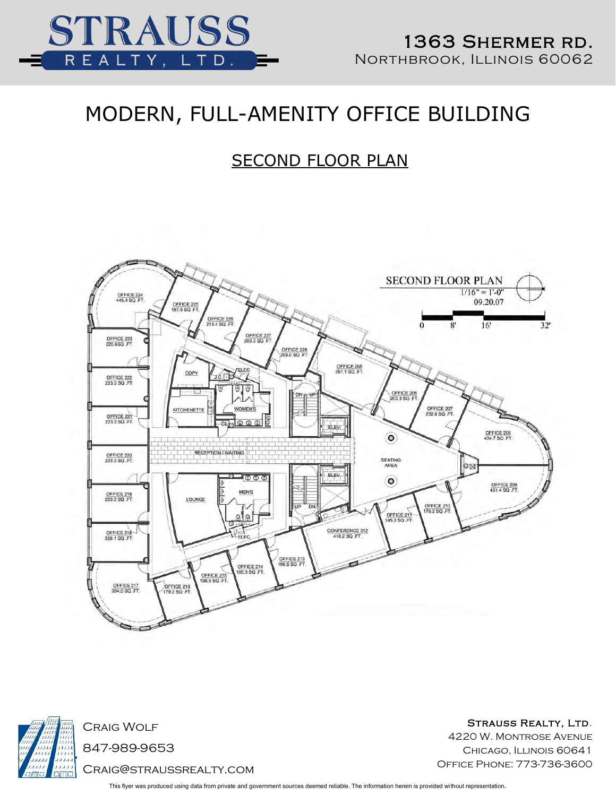

## MODERN, FULL-AMENITY OFFICE BUILDING

### SECOND FLOOR PLAN





Craig Wolf 847-989-9653 Craig@straussrealty.com

Strauss Realty, Ltd. 4220 W. Montrose Avenue CHICAGO, ILLINOIS 60641 Office Phone: 773-736-3600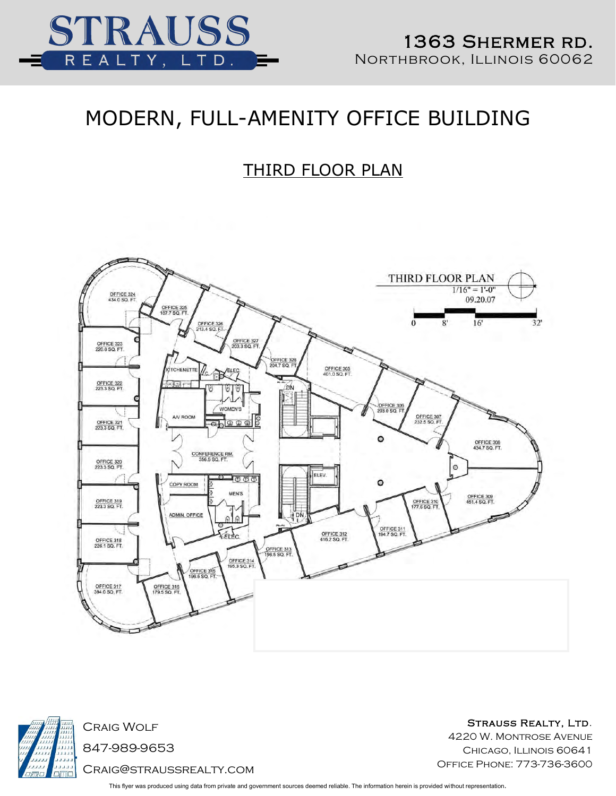

# MODERN, FULL-AMENITY OFFICE BUILDING

### THIRD FLOOR PLAN





Strauss Realty, Ltd.

4220 W. Montrose Avenue CHICAGO, ILLINOIS 60641 Office Phone: 773-736-3600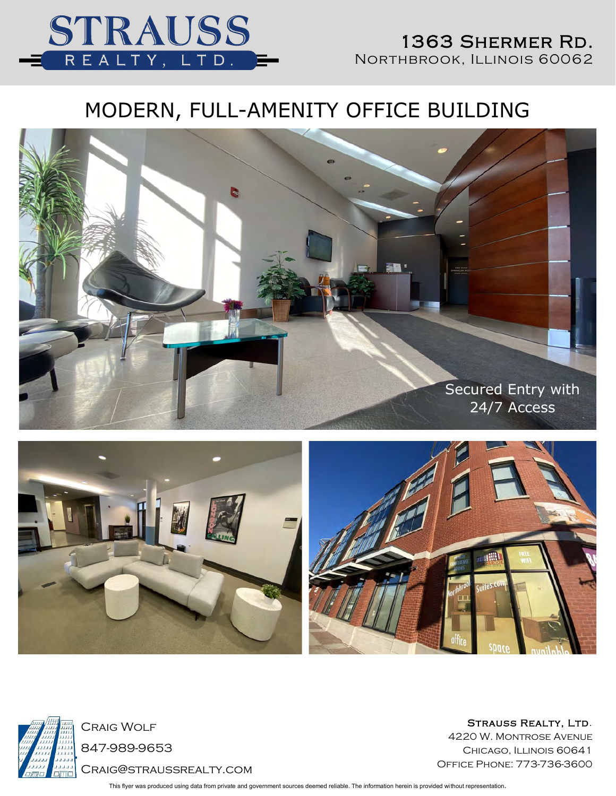

#### 1363 Shermer Rd. NORTHBROOK, ILLINOIS 60062

# MODERN, FULL-AMENITY OFFICE BUILDING







Craig Wolf 847-989-9653 Craig@straussrealty.com

STRAUSS REALTY, LTD. 4220 W. Montrose Avenue CHICAGO, ILLINOIS 60641 Office Phone: 773-736-3600